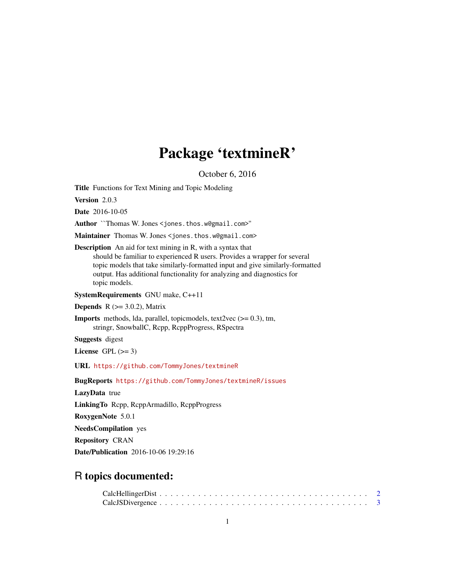# Package 'textmineR'

October 6, 2016

<span id="page-0-0"></span>Title Functions for Text Mining and Topic Modeling

Version 2.0.3

Date 2016-10-05

Author ``Thomas W. Jones <jones.thos.w@gmail.com>''

Maintainer Thomas W. Jones <jones.thos.w@gmail.com>

Description An aid for text mining in R, with a syntax that should be familiar to experienced R users. Provides a wrapper for several topic models that take similarly-formatted input and give similarly-formatted output. Has additional functionality for analyzing and diagnostics for topic models.

SystemRequirements GNU make, C++11

**Depends** R  $(>= 3.0.2)$ , Matrix

**Imports** methods, Ida, parallel, topicmodels, text2vec  $(>= 0.3)$ , tm, stringr, SnowballC, Rcpp, RcppProgress, RSpectra

Suggests digest

License GPL  $(>= 3)$ 

URL <https://github.com/TommyJones/textmineR>

BugReports <https://github.com/TommyJones/textmineR/issues>

LazyData true

LinkingTo Rcpp, RcppArmadillo, RcppProgress

RoxygenNote 5.0.1

NeedsCompilation yes

Repository CRAN

Date/Publication 2016-10-06 19:29:16

## R topics documented: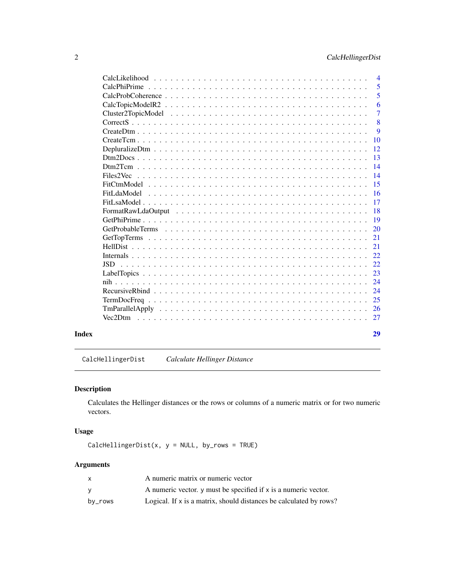<span id="page-1-0"></span>

| $\overline{4}$                                                                                                           |
|--------------------------------------------------------------------------------------------------------------------------|
| 5                                                                                                                        |
| 5<br>$CalcProbCoherence \dots \dots \dots \dots \dots \dots \dots \dots \dots \dots \dots \dots \dots \dots \dots \dots$ |
| 6                                                                                                                        |
| $\overline{7}$                                                                                                           |
| 8                                                                                                                        |
| 9                                                                                                                        |
| 10                                                                                                                       |
| -12                                                                                                                      |
| -13                                                                                                                      |
| 14                                                                                                                       |
| 14                                                                                                                       |
| 15                                                                                                                       |
| -16                                                                                                                      |
| <b>17</b>                                                                                                                |
| -18                                                                                                                      |
| $\overline{19}$                                                                                                          |
| <sup>20</sup>                                                                                                            |
| 21                                                                                                                       |
| 21                                                                                                                       |
| 22                                                                                                                       |
| 22                                                                                                                       |
| 23                                                                                                                       |
| 24                                                                                                                       |
| 24                                                                                                                       |
| 25                                                                                                                       |
|                                                                                                                          |
| 27                                                                                                                       |
|                                                                                                                          |
| 29                                                                                                                       |
|                                                                                                                          |

<span id="page-1-1"></span>CalcHellingerDist *Calculate Hellinger Distance*

## Description

Calculates the Hellinger distances or the rows or columns of a numeric matrix or for two numeric vectors.

## Usage

 $CalchellingerDist(x, y = NULL, by_rows = TRUE)$ 

## Arguments

|         | A numeric matrix or numeric vector                                 |
|---------|--------------------------------------------------------------------|
| v       | A numeric vector, y must be specified if x is a numeric vector.    |
| by_rows | Logical. If x is a matrix, should distances be calculated by rows? |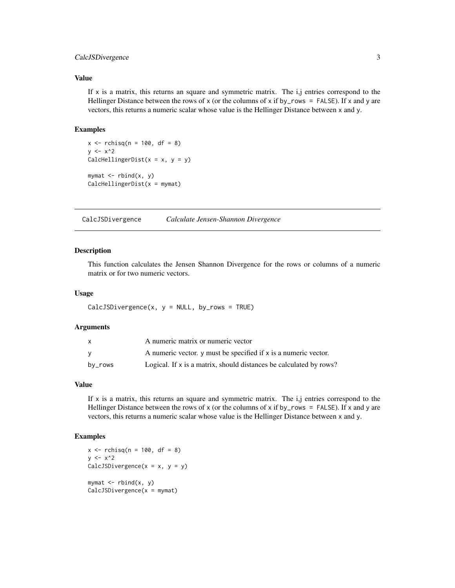## <span id="page-2-0"></span>CalcJSDivergence 3

### Value

If  $x$  is a matrix, this returns an square and symmetric matrix. The i,j entries correspond to the Hellinger Distance between the rows of x (or the columns of x if by\_rows = FALSE). If x and y are vectors, this returns a numeric scalar whose value is the Hellinger Distance between x and y.

#### Examples

```
x \le rchisq(n = 100, df = 8)
y \le -x^2CalcHellingerDist(x = x, y = y)
mymat <- rbind(x, y)
CalchellingerDist(x = mymat)
```
<span id="page-2-1"></span>CalcJSDivergence *Calculate Jensen-Shannon Divergence*

#### Description

This function calculates the Jensen Shannon Divergence for the rows or columns of a numeric matrix or for two numeric vectors.

### Usage

```
CalcJSDivergence(x, y = NULL, byrows = TRUE)
```
#### Arguments

| x       | A numeric matrix or numeric vector                                 |
|---------|--------------------------------------------------------------------|
| v       | A numeric vector, y must be specified if x is a numeric vector.    |
| by_rows | Logical. If x is a matrix, should distances be calculated by rows? |

## Value

If  $x$  is a matrix, this returns an square and symmetric matrix. The  $i, j$  entries correspond to the Hellinger Distance between the rows of x (or the columns of x if by\_rows = FALSE). If x and y are vectors, this returns a numeric scalar whose value is the Hellinger Distance between x and y.

```
x \le rchisq(n = 100, df = 8)
y \le -x^2CalcJSDivergence(x = x, y = y)
mymat \leq rbind(x, y)
CalcJSDivergence(x = mymat)
```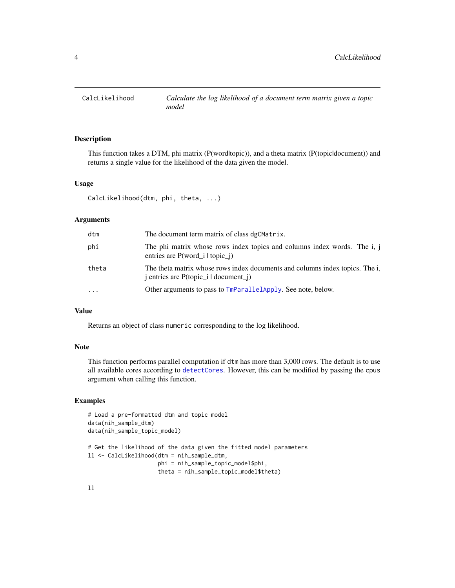<span id="page-3-0"></span>

This function takes a DTM, phi matrix (P(word|topic)), and a theta matrix (P(topic|document)) and returns a single value for the likelihood of the data given the model.

## Usage

CalcLikelihood(dtm, phi, theta, ...)

#### Arguments

| dtm   | The document term matrix of class dgCMatrix.                                                                                                              |
|-------|-----------------------------------------------------------------------------------------------------------------------------------------------------------|
| phi   | The phi matrix whose rows index topics and columns index words. The i, j<br>entries are $P(word_i   topic_i)$                                             |
| theta | The theta matrix whose rows index documents and columns index topics. The i,<br>$\mathbf{j}$ entries are P(topic_ $\mathbf{i}$   document_ $\mathbf{j}$ ) |
| .     | Other arguments to pass to TmParallelApply. See note, below.                                                                                              |

## Value

Returns an object of class numeric corresponding to the log likelihood.

#### Note

This function performs parallel computation if dtm has more than 3,000 rows. The default is to use all available cores according to [detectCores](#page-0-0). However, this can be modified by passing the cpus argument when calling this function.

```
# Load a pre-formatted dtm and topic model
data(nih_sample_dtm)
data(nih_sample_topic_model)
# Get the likelihood of the data given the fitted model parameters
ll <- CalcLikelihood(dtm = nih_sample_dtm,
                     phi = nih_sample_topic_model$phi,
                     theta = nih_sample_topic_model$theta)
```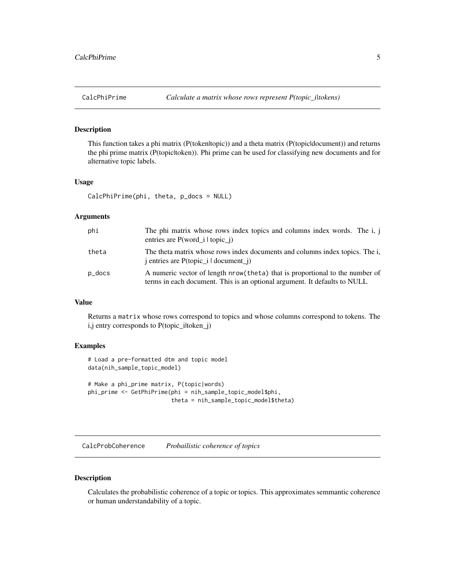<span id="page-4-1"></span><span id="page-4-0"></span>

This function takes a phi matrix (P(token|topic)) and a theta matrix (P(topic|document)) and returns the phi prime matrix (P(topic|token)). Phi prime can be used for classifying new documents and for alternative topic labels.

#### Usage

CalcPhiPrime(phi, theta, p\_docs = NULL)

## Arguments

| phi    | The phi matrix whose rows index topics and columns index words. The i, j<br>entries are $P(word_i   topic_i)$                                              |
|--------|------------------------------------------------------------------------------------------------------------------------------------------------------------|
| theta  | The theta matrix whose rows index documents and columns index topics. The i,<br>$\mu$ i entries are P(topic $\mu$ i document $\mu$ )                       |
| p_docs | A numeric vector of length nrow (theta) that is proportional to the number of<br>terms in each document. This is an optional argument. It defaults to NULL |

## Value

Returns a matrix whose rows correspond to topics and whose columns correspond to tokens. The i,j entry corresponds to P(topic\_iltoken\_j)

#### Examples

```
# Load a pre-formatted dtm and topic model
data(nih_sample_topic_model)
# Make a phi_prime matrix, P(topic|words)
phi_prime <- GetPhiPrime(phi = nih_sample_topic_model$phi,
                         theta = nih_sample_topic_model$theta)
```
CalcProbCoherence *Probailistic coherence of topics*

## Description

Calculates the probabilistic coherence of a topic or topics. This approximates semmantic coherence or human understandability of a topic.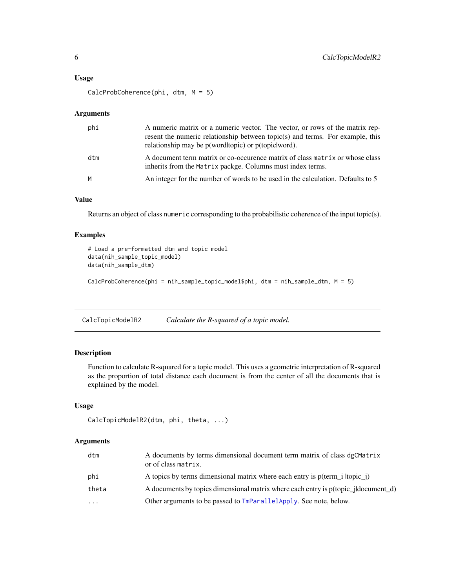#### <span id="page-5-0"></span>Usage

CalcProbCoherence(phi, dtm, M = 5)

#### Arguments

| phi | A numeric matrix or a numeric vector. The vector, or rows of the matrix rep-<br>resent the numeric relationship between topic(s) and terms. For example, this<br>relationship may be p(word topic) or p(topic word). |
|-----|----------------------------------------------------------------------------------------------------------------------------------------------------------------------------------------------------------------------|
| dtm | A document term matrix or co-occurence matrix of class matrix or whose class<br>inherits from the Matrix packge. Columns must index terms.                                                                           |
| M   | An integer for the number of words to be used in the calculation. Defaults to 5                                                                                                                                      |

## Value

Returns an object of class numeric corresponding to the probabilistic coherence of the input topic(s).

### Examples

```
# Load a pre-formatted dtm and topic model
data(nih_sample_topic_model)
data(nih_sample_dtm)
```
CalcProbCoherence(phi = nih\_sample\_topic\_model\$phi, dtm = nih\_sample\_dtm, M = 5)

CalcTopicModelR2 *Calculate the R-squared of a topic model.*

## Description

Function to calculate R-squared for a topic model. This uses a geometric interpretation of R-squared as the proportion of total distance each document is from the center of all the documents that is explained by the model.

#### Usage

```
CalcTopicModelR2(dtm, phi, theta, ...)
```
## Arguments

| dtm       | A documents by terms dimensional document term matrix of class dgCMatrix<br>or of class matrix. |
|-----------|-------------------------------------------------------------------------------------------------|
| phi       | A topics by terms dimensional matrix where each entry is p(term i ltopic j)                     |
| theta     | A documents by topics dimensional matrix where each entry is p(topic_jldocument_d)              |
| $\ddotsc$ | Other arguments to be passed to TmParallelApply. See note, below.                               |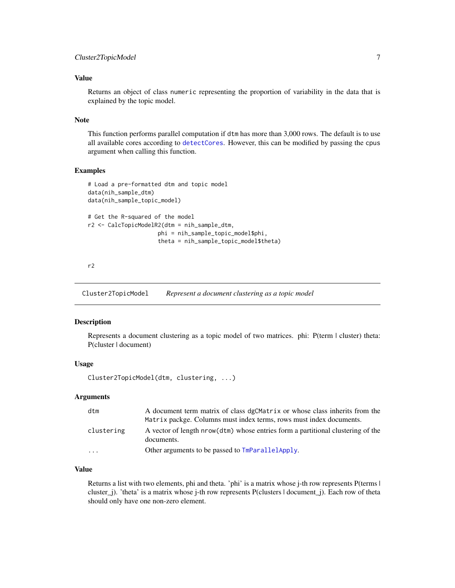## <span id="page-6-0"></span>Value

Returns an object of class numeric representing the proportion of variability in the data that is explained by the topic model.

#### Note

This function performs parallel computation if dtm has more than 3,000 rows. The default is to use all available cores according to [detectCores](#page-0-0). However, this can be modified by passing the cpus argument when calling this function.

## Examples

```
# Load a pre-formatted dtm and topic model
data(nih_sample_dtm)
data(nih_sample_topic_model)
# Get the R-squared of the model
r2 <- CalcTopicModelR2(dtm = nih_sample_dtm,
                     phi = nih_sample_topic_model$phi,
                     theta = nih_sample_topic_model$theta)
```
r2

Cluster2TopicModel *Represent a document clustering as a topic model*

#### Description

Represents a document clustering as a topic model of two matrices. phi: P(term | cluster) theta: P(cluster | document)

#### Usage

```
Cluster2TopicModel(dtm, clustering, ...)
```
#### Arguments

| dtm        | A document term matrix of class dgCMatrix or whose class inherits from the                    |
|------------|-----------------------------------------------------------------------------------------------|
|            | Matrix packge. Columns must index terms, rows must index documents.                           |
| clustering | A vector of length nrow(dtm) whose entries form a partitional clustering of the<br>documents. |
| $\cdot$    | Other arguments to be passed to TmParallelApply.                                              |

## Value

Returns a list with two elements, phi and theta. 'phi' is a matrix whose j-th row represents P(terms | cluster\_j). 'theta' is a matrix whose j-th row represents P(clusters | document\_j). Each row of theta should only have one non-zero element.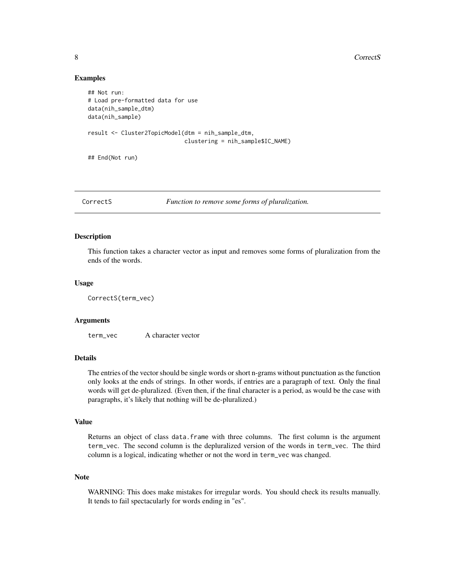#### Examples

```
## Not run:
# Load pre-formatted data for use
data(nih_sample_dtm)
data(nih_sample)
result <- Cluster2TopicModel(dtm = nih_sample_dtm,
                             clustering = nih_sample$IC_NAME)
## End(Not run)
```
CorrectS *Function to remove some forms of pluralization.*

#### Description

This function takes a character vector as input and removes some forms of pluralization from the ends of the words.

#### Usage

CorrectS(term\_vec)

#### Arguments

term\_vec A character vector

## Details

The entries of the vector should be single words or short n-grams without punctuation as the function only looks at the ends of strings. In other words, if entries are a paragraph of text. Only the final words will get de-pluralized. (Even then, if the final character is a period, as would be the case with paragraphs, it's likely that nothing will be de-pluralized.)

#### Value

Returns an object of class data.frame with three columns. The first column is the argument term\_vec. The second column is the depluralized version of the words in term\_vec. The third column is a logical, indicating whether or not the word in term\_vec was changed.

## Note

WARNING: This does make mistakes for irregular words. You should check its results manually. It tends to fail spectacularly for words ending in "es".

<span id="page-7-0"></span>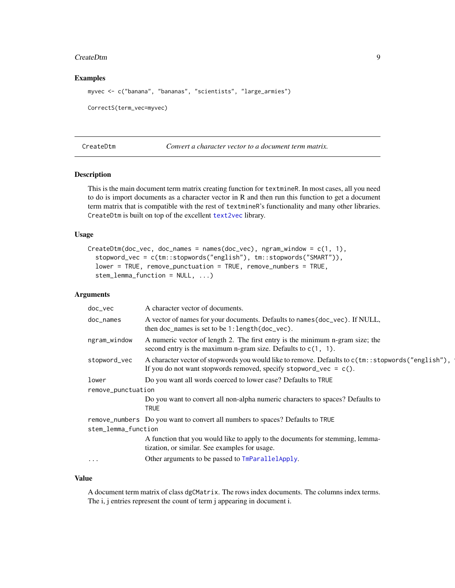#### <span id="page-8-0"></span>CreateDtm 9

#### Examples

myvec <- c("banana", "bananas", "scientists", "large\_armies") CorrectS(term\_vec=myvec)

<span id="page-8-1"></span>CreateDtm *Convert a character vector to a document term matrix.*

## Description

This is the main document term matrix creating function for textmineR. In most cases, all you need to do is import documents as a character vector in R and then run this function to get a document term matrix that is compatible with the rest of textmineR's functionality and many other libraries. CreateDtm is built on top of the excellent [text2vec](#page-0-0) library.

### Usage

```
CreateDtm(doc\_vec, doc\_names = names(doc\_vec), ngram\_window = c(1, 1),stopword_vec = c(tm::stopwords("english"), tm::stopwords("SMART")),
  lower = TRUE, remove_punctuation = TRUE, remove_numbers = TRUE,
  stem_lemma_function = NULL, ...)
```
## Arguments

| doc_vec             | A character vector of documents.                                                                                                                                            |  |  |  |
|---------------------|-----------------------------------------------------------------------------------------------------------------------------------------------------------------------------|--|--|--|
| doc_names           | A vector of names for your documents. Defaults to names (doc_vec). If NULL,<br>then doc_names is set to be 1: length (doc_vec).                                             |  |  |  |
| ngram_window        | A numeric vector of length 2. The first entry is the minimum n-gram size; the<br>second entry is the maximum n-gram size. Defaults to $c(1, 1)$ .                           |  |  |  |
| stopword_vec        | A character vector of stopwords you would like to remove. Defaults to $c(tm::stopwords("english"),$<br>If you do not want stopwords removed, specify stopword_vec = $c()$ . |  |  |  |
| lower               | Do you want all words coerced to lower case? Defaults to TRUE                                                                                                               |  |  |  |
| remove_punctuation  |                                                                                                                                                                             |  |  |  |
|                     | Do you want to convert all non-alpha numeric characters to spaces? Defaults to<br><b>TRUE</b>                                                                               |  |  |  |
|                     | remove_numbers Do you want to convert all numbers to spaces? Defaults to TRUE                                                                                               |  |  |  |
| stem_lemma_function |                                                                                                                                                                             |  |  |  |
|                     | A function that you would like to apply to the documents for stemming, lemma-<br>tization, or similar. See examples for usage.                                              |  |  |  |
| $\cdots$            | Other arguments to be passed to TmParallelApply.                                                                                                                            |  |  |  |
|                     |                                                                                                                                                                             |  |  |  |

## Value

A document term matrix of class dgCMatrix. The rows index documents. The columns index terms. The i, j entries represent the count of term j appearing in document i.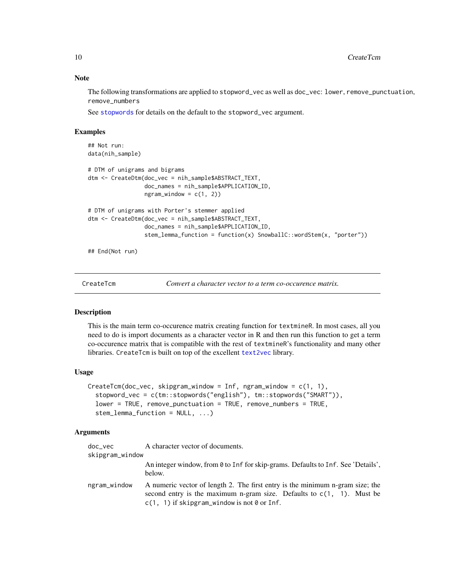The following transformations are applied to stopword\_vec as well as doc\_vec: lower, remove\_punctuation, remove\_numbers

See [stopwords](#page-0-0) for details on the default to the stopword\_vec argument.

## Examples

```
## Not run:
data(nih_sample)
# DTM of unigrams and bigrams
dtm <- CreateDtm(doc_vec = nih_sample$ABSTRACT_TEXT,
                 doc_names = nih_sample$APPLICATION_ID,
                 ngram\_window = c(1, 2)# DTM of unigrams with Porter's stemmer applied
dtm <- CreateDtm(doc_vec = nih_sample$ABSTRACT_TEXT,
                 doc_names = nih_sample$APPLICATION_ID,
                 stem_lemma_function = function(x) SnowballC::wordStem(x, "porter"))
## End(Not run)
```
CreateTcm *Convert a character vector to a term co-occurence matrix.*

#### Description

This is the main term co-occurence matrix creating function for textmineR. In most cases, all you need to do is import documents as a character vector in R and then run this function to get a term co-occurence matrix that is compatible with the rest of textmineR's functionality and many other libraries. CreateTcm is built on top of the excellent [text2vec](#page-0-0) library.

#### Usage

```
CreateTcm(doc_vec, skipgram_window = Inf, ngram_window = c(1, 1),
  stopword_vec = c(tm::stopwords("english"), tm::stopwords("SMART")),
  lower = TRUE, remove_punctuation = TRUE, remove_numbers = TRUE,
  stem_lemma_function = NULL, ...)
```
#### Arguments

| doc vec         | A character vector of documents.                                                                                                                                                                           |
|-----------------|------------------------------------------------------------------------------------------------------------------------------------------------------------------------------------------------------------|
| skipgram_window |                                                                                                                                                                                                            |
|                 | An integer window, from 0 to Inf for skip-grams. Defaults to Inf. See 'Details',<br>below.                                                                                                                 |
| ngram_window    | A numeric vector of length 2. The first entry is the minimum n-gram size; the<br>second entry is the maximum n-gram size. Defaults to $c(1, 1)$ . Must be<br>$c(1, 1)$ if skipgram_window is not 0 or Inf. |

<span id="page-9-0"></span>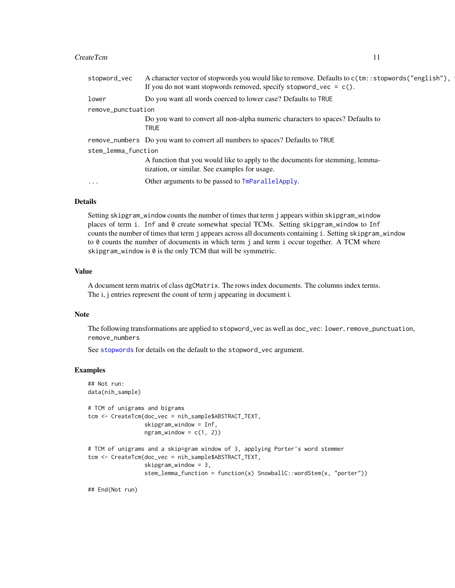#### <span id="page-10-0"></span>CreateTcm 11

| stopword_vec        | A character vector of stopwords you would like to remove. Defaults to c(tm::stopwords("english"),<br>If you do not want stopwords removed, specify stopword_vec = $c()$ . |  |  |  |  |
|---------------------|---------------------------------------------------------------------------------------------------------------------------------------------------------------------------|--|--|--|--|
| lower               | Do you want all words coerced to lower case? Defaults to TRUE                                                                                                             |  |  |  |  |
| remove_punctuation  |                                                                                                                                                                           |  |  |  |  |
|                     | Do you want to convert all non-alpha numeric characters to spaces? Defaults to<br><b>TRUE</b>                                                                             |  |  |  |  |
|                     | remove_numbers Do you want to convert all numbers to spaces? Defaults to TRUE                                                                                             |  |  |  |  |
| stem_lemma_function |                                                                                                                                                                           |  |  |  |  |
|                     | A function that you would like to apply to the documents for stemming, lemma-<br>tization, or similar. See examples for usage.                                            |  |  |  |  |
| $\cdots$            | Other arguments to be passed to TmParallelApply.                                                                                                                          |  |  |  |  |

#### Details

Setting skipgram\_window counts the number of times that term j appears within skipgram\_window places of term i. Inf and 0 create somewhat special TCMs. Setting skipgram\_window to Inf counts the number of times that term j appears across all documents containing i. Setting skipgram\_window to 0 counts the number of documents in which term j and term i occur together. A TCM where skipgram\_window is 0 is the only TCM that will be symmetric.

## Value

A document term matrix of class dgCMatrix. The rows index documents. The columns index terms. The i, j entries represent the count of term j appearing in document i.

#### Note

The following transformations are applied to stopword\_vec as well as doc\_vec: lower, remove\_punctuation, remove\_numbers

See [stopwords](#page-0-0) for details on the default to the stopword\_vec argument.

#### Examples

```
## Not run:
data(nih_sample)
# TCM of unigrams and bigrams
tcm <- CreateTcm(doc_vec = nih_sample$ABSTRACT_TEXT,
                 skipgram_window = Inf,
                 ngram_window = c(1, 2)# TCM of unigrams and a skip=gram window of 3, applying Porter's word stemmer
tcm <- CreateTcm(doc_vec = nih_sample$ABSTRACT_TEXT,
                 skipgram_window = 3,
                 stem_lemma_function = function(x) SnowballC::wordStem(x, "porter"))
```
## End(Not run)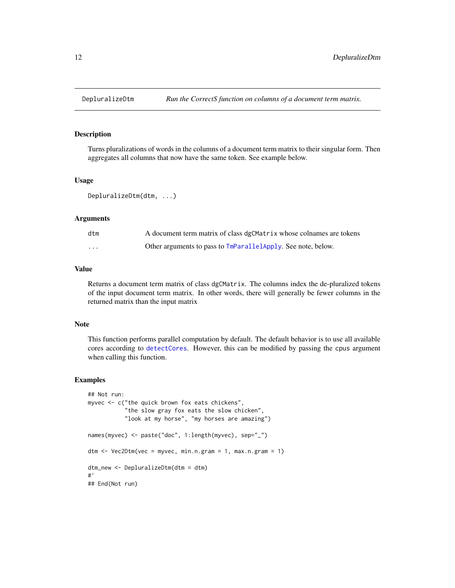<span id="page-11-0"></span>

Turns pluralizations of words in the columns of a document term matrix to their singular form. Then aggregates all columns that now have the same token. See example below.

#### Usage

DepluralizeDtm(dtm, ...)

#### **Arguments**

| dtm      | A document term matrix of class dgCMatrix whose colnames are tokens |
|----------|---------------------------------------------------------------------|
| $\cdots$ | Other arguments to pass to TmParallelApply. See note, below.        |

## Value

Returns a document term matrix of class dgCMatrix. The columns index the de-pluralized tokens of the input document term matrix. In other words, there will generally be fewer columns in the returned matrix than the input matrix

#### Note

This function performs parallel computation by default. The default behavior is to use all available cores according to [detectCores](#page-0-0). However, this can be modified by passing the cpus argument when calling this function.

```
## Not run:
myvec <- c("the quick brown fox eats chickens",
           "the slow gray fox eats the slow chicken",
           "look at my horse", "my horses are amazing")
names(myvec) <- paste("doc", 1:length(myvec), sep="_")
dtm \leq Vec2Dtm(vec = myvec, min.n.gram = 1, max.n.gram = 1)
dtm_new <- DepluralizeDtm(dtm = dtm)
#'
## End(Not run)
```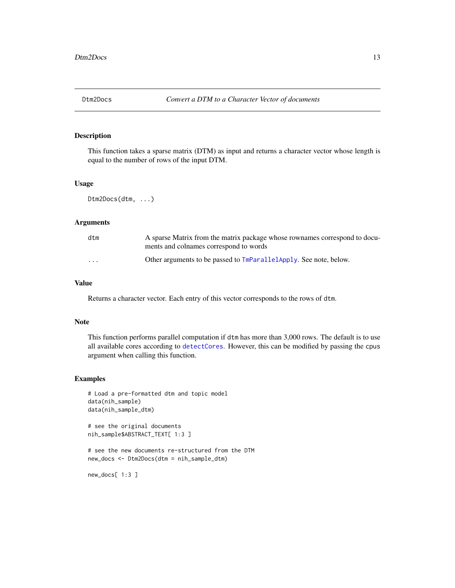<span id="page-12-0"></span>

This function takes a sparse matrix (DTM) as input and returns a character vector whose length is equal to the number of rows of the input DTM.

### Usage

Dtm2Docs(dtm, ...)

#### Arguments

| dtm      | A sparse Matrix from the matrix package whose rownames correspond to docu-<br>ments and colnames correspond to words |
|----------|----------------------------------------------------------------------------------------------------------------------|
| $\cdots$ | Other arguments to be passed to TmParallelApply. See note, below.                                                    |

## Value

Returns a character vector. Each entry of this vector corresponds to the rows of dtm.

#### Note

This function performs parallel computation if dtm has more than 3,000 rows. The default is to use all available cores according to [detectCores](#page-0-0). However, this can be modified by passing the cpus argument when calling this function.

#### Examples

```
# Load a pre-formatted dtm and topic model
data(nih_sample)
data(nih_sample_dtm)
```
# see the original documents nih\_sample\$ABSTRACT\_TEXT[ 1:3 ]

# see the new documents re-structured from the DTM new\_docs <- Dtm2Docs(dtm = nih\_sample\_dtm)

new\_docs[ 1:3 ]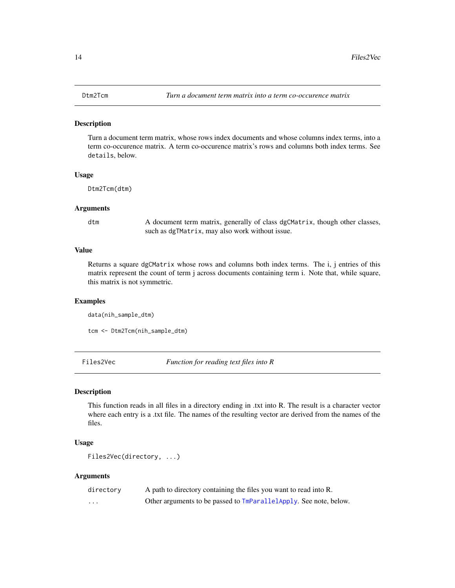<span id="page-13-0"></span>Turn a document term matrix, whose rows index documents and whose columns index terms, into a term co-occurence matrix. A term co-occurence matrix's rows and columns both index terms. See details, below.

#### Usage

Dtm2Tcm(dtm)

### Arguments

dtm A document term matrix, generally of class dgCMatrix, though other classes, such as dgTMatrix, may also work without issue.

## Value

Returns a square dgCMatrix whose rows and columns both index terms. The i, j entries of this matrix represent the count of term j across documents containing term i. Note that, while square, this matrix is not symmetric.

#### Examples

data(nih\_sample\_dtm)

tcm <- Dtm2Tcm(nih\_sample\_dtm)

Files2Vec *Function for reading text files into R*

#### Description

This function reads in all files in a directory ending in .txt into R. The result is a character vector where each entry is a .txt file. The names of the resulting vector are derived from the names of the files.

## Usage

```
Files2Vec(directory, ...)
```
#### Arguments

| directory | A path to directory containing the files you want to read into R.    |
|-----------|----------------------------------------------------------------------|
| $\cdot$   | Other arguments to be passed to $TmParallelApply$ . See note, below. |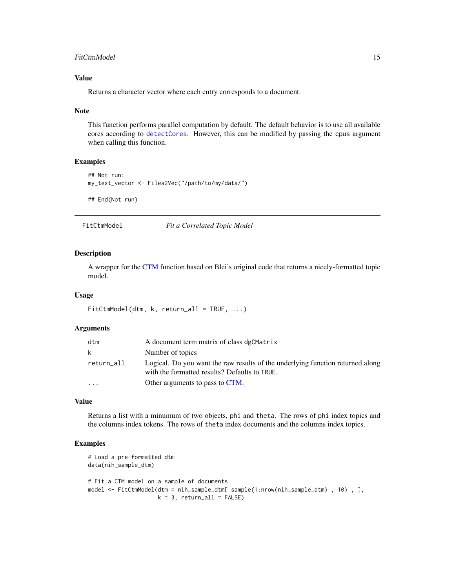## <span id="page-14-0"></span>FitCtmModel 15

## Value

Returns a character vector where each entry corresponds to a document.

#### Note

This function performs parallel computation by default. The default behavior is to use all available cores according to [detectCores](#page-0-0). However, this can be modified by passing the cpus argument when calling this function.

### Examples

```
## Not run:
my_text_vector <- Files2Vec("/path/to/my/data/")
## End(Not run)
```
FitCtmModel *Fit a Correlated Topic Model*

## Description

A wrapper for the [CTM](#page-0-0) function based on Blei's original code that returns a nicely-formatted topic model.

#### Usage

```
FitCtmModel(dtm, k, return_all = TRUE, ...)
```
#### Arguments

| dtm        | A document term matrix of class dgCMatrix                                                                                       |
|------------|---------------------------------------------------------------------------------------------------------------------------------|
| k.         | Number of topics                                                                                                                |
| return_all | Logical. Do you want the raw results of the underlying function returned along<br>with the formatted results? Defaults to TRUE. |
| $\ddotsc$  | Other arguments to pass to CTM.                                                                                                 |

#### Value

Returns a list with a minumum of two objects, phi and theta. The rows of phi index topics and the columns index tokens. The rows of theta index documents and the columns index topics.

```
# Load a pre-formatted dtm
data(nih_sample_dtm)
# Fit a CTM model on a sample of documents
model <- FitCtmModel(dtm = nih_sample_dtm[ sample(1:nrow(nih_sample_dtm) , 10) , ],
                     k = 3, return_all = FALSE)
```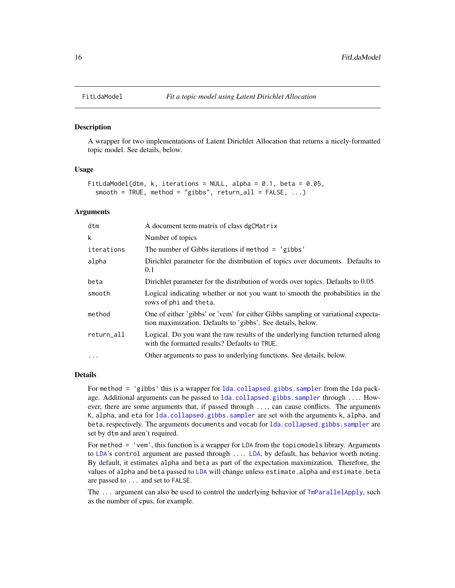A wrapper for two implementations of Latent Dirichlet Allocation that returns a nicely-formatted topic model. See details, below.

#### Usage

```
FitLdaModel(dtm, k, iterations = NULL, alpha = 0.1, beta = 0.05,
  smooth = TRUE, method = "gibbs", return_all = FALSE, ...)
```
## Arguments

| dtm        | A document term matrix of class dgCMatrix                                                                                                       |
|------------|-------------------------------------------------------------------------------------------------------------------------------------------------|
| k          | Number of topics                                                                                                                                |
| iterations | The number of Gibbs iterations if method $=$ 'gibbs'                                                                                            |
| alpha      | Dirichlet parameter for the distribution of topics over documents. Defaults to<br>0.1                                                           |
| beta       | Dirichlet parameter for the distribution of words over topics. Defaults to 0.05                                                                 |
| smooth     | Logical indicating whether or not you want to smooth the probabilities in the<br>rows of phi and theta.                                         |
| method     | One of either 'gibbs' or 'vem' for either Gibbs sampling or variational expecta-<br>tion maximization. Defaults to 'gibbs'. See details, below. |
| return_all | Logical. Do you want the raw results of the underlying function returned along<br>with the formatted results? Defaults to TRUE.                 |
| $\ddotsc$  | Other arguments to pass to underlying functions. See details, below.                                                                            |

## Details

For method = 'gibbs' this is a wrapper for [lda.collapsed.gibbs.sampler](#page-0-0) from the lda package. Additional arguments can be passed to 1da.collapsed.gibbs.sampler through .... However, there are some arguments that, if passed through ..., can cause conflicts. The arguments K, alpha, and eta for [lda.collapsed.gibbs.sampler](#page-0-0) are set with the arguments k, alpha, and beta, respectively. The arguments documents and vocab for 1da.collapsed.gibbs.sampler are set by dtm and aren't required.

For method = 'vem', this function is a wrapper for LDA from the topicmodels library. Arguments to [LDA](#page-0-0)'s control argument are passed through .... [LDA](#page-0-0), by default, has behavior worth noting. By default, it estimates alpha and beta as part of the expectation maximization. Therefore, the values of alpha and beta passed to [LDA](#page-0-0) will change unless estimate.alpha and estimate.beta are passed to ... and set to FALSE.

The ... argument can also be used to control the underlying behavior of  $\text{ImParallelApply}$ , such as the number of cpus, for example.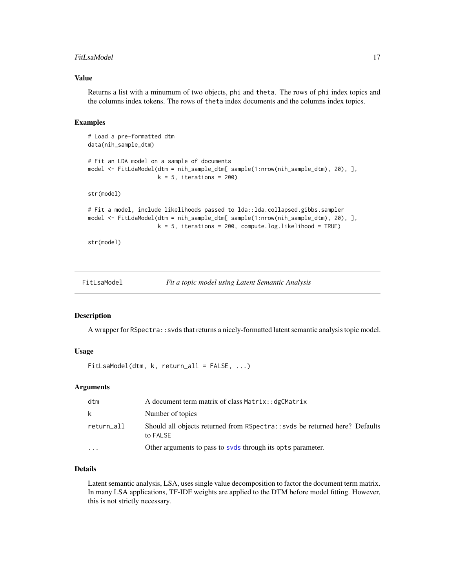#### <span id="page-16-0"></span>FitLsaModel 17

#### Value

Returns a list with a minumum of two objects, phi and theta. The rows of phi index topics and the columns index tokens. The rows of theta index documents and the columns index topics.

#### Examples

```
# Load a pre-formatted dtm
data(nih_sample_dtm)
# Fit an LDA model on a sample of documents
model <- FitLdaModel(dtm = nih_sample_dtm[ sample(1:nrow(nih_sample_dtm), 20), ],
                     k = 5, iterations = 200)
str(model)
# Fit a model, include likelihoods passed to lda::lda.collapsed.gibbs.sampler
model <- FitLdaModel(dtm = nih_sample_dtm[ sample(1:nrow(nih_sample_dtm), 20), ],
                     k = 5, iterations = 200, compute.log.likelihood = TRUE)
str(model)
```
FitLsaModel *Fit a topic model using Latent Semantic Analysis*

#### Description

A wrapper for RSpectra:: svds that returns a nicely-formatted latent semantic analysis topic model.

## Usage

```
FitLsaModel(dtm, k, return_all = FALSE, ...)
```
### **Arguments**

| dtm        | A document term matrix of class Matrix: : dgCMatrix                                      |
|------------|------------------------------------------------------------------------------------------|
| k          | Number of topics                                                                         |
| return_all | Should all objects returned from RSpectra: : svds be returned here? Defaults<br>to FALSE |
| $\ddotsc$  | Other arguments to pass to syds through its opts parameter.                              |

#### Details

Latent semantic analysis, LSA, uses single value decomposition to factor the document term matrix. In many LSA applications, TF-IDF weights are applied to the DTM before model fitting. However, this is not strictly necessary.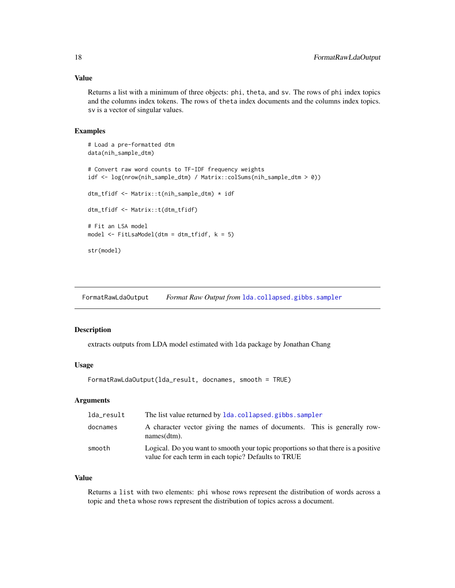#### <span id="page-17-0"></span>Value

Returns a list with a minimum of three objects: phi, theta, and sv. The rows of phi index topics and the columns index tokens. The rows of theta index documents and the columns index topics. sv is a vector of singular values.

## Examples

```
# Load a pre-formatted dtm
data(nih_sample_dtm)
# Convert raw word counts to TF-IDF frequency weights
idf <- log(nrow(nih_sample_dtm) / Matrix::colSums(nih_sample_dtm > 0))
dtm_tfidf <- Matrix::t(nih_sample_dtm) * idf
dtm_tfidf <- Matrix::t(dtm_tfidf)
# Fit an LSA model
model <- FitLsaModel(dtm = dtm_tfidf, k = 5)
str(model)
```
FormatRawLdaOutput *Format Raw Output from* [lda.collapsed.gibbs.sampler](#page-0-0)

## Description

extracts outputs from LDA model estimated with lda package by Jonathan Chang

#### Usage

FormatRawLdaOutput(lda\_result, docnames, smooth = TRUE)

## Arguments

| lda_result | The list value returned by 1da.collapsed.gibbs.sampler                                                                                   |
|------------|------------------------------------------------------------------------------------------------------------------------------------------|
| docnames   | A character vector giving the names of documents. This is generally row-<br>$names(dtm)$ .                                               |
| smooth     | Logical. Do you want to smooth your topic proportions so that there is a positive<br>value for each term in each topic? Defaults to TRUE |

## Value

Returns a list with two elements: phi whose rows represent the distribution of words across a topic and theta whose rows represent the distribution of topics across a document.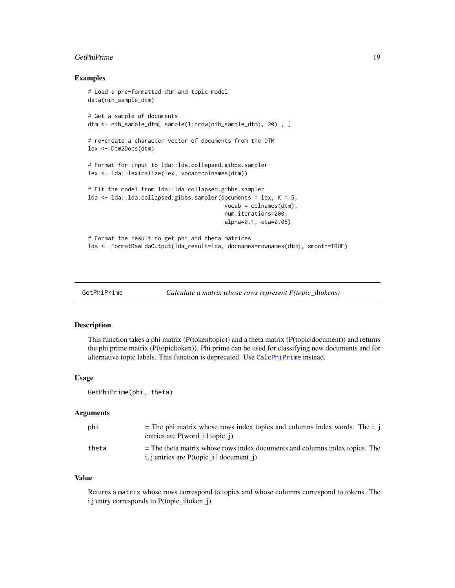#### <span id="page-18-0"></span>GetPhiPrime 2012 2013 2014 19:30 19:30 19:30 19:30 19:30 19:30 19:30 19:30 19:30 19:30 19:30 19:30 19:30 19:30

#### Examples

```
# Load a pre-formatted dtm and topic model
data(nih_sample_dtm)
# Get a sample of documents
dtm <- nih_sample_dtm[ sample(1:nrow(nih_sample_dtm), 20) , ]
# re-create a character vector of documents from the DTM
lex <- Dtm2Docs(dtm)
# Format for input to lda::lda.collapsed.gibbs.sampler
lex <- lda::lexicalize(lex, vocab=colnames(dtm))
# Fit the model from lda::lda.collapsed.gibbs.sampler
lda < - 1 da: lda.collapsed.gibbs.sampler(documents = lex, K = 5,
                                         vocab = colnames(dtm),
                                         num.iterations=200,
                                         alpha=0.1, eta=0.05)
# Format the result to get phi and theta matrices
lda <- FormatRawLdaOutput(lda_result=lda, docnames=rownames(dtm), smooth=TRUE)
```

```
GetPhiPrime Calculate a matrix whose rows represent P(topic_i|tokens)
```
#### Description

This function takes a phi matrix (P(token|topic)) and a theta matrix (P(topic|document)) and returns the phi prime matrix (P(topic|token)). Phi prime can be used for classifying new documents and for alternative topic labels. This function is deprecated. Use [CalcPhiPrime](#page-4-1) instead.

#### Usage

GetPhiPrime(phi, theta)

#### Arguments

| phi   | $=$ The phi matrix whose rows index topics and columns index words. The i, j<br>entries are $P(word \text{ i}   topic \text{ i})$         |
|-------|-------------------------------------------------------------------------------------------------------------------------------------------|
| theta | $=$ The theta matrix whose rows index documents and columns index topics. The<br>i, j entries are $P(\text{topic}_i   \text{document}_i)$ |

#### Value

Returns a matrix whose rows correspond to topics and whose columns correspond to tokens. The i,j entry corresponds to P(topic\_iltoken\_j)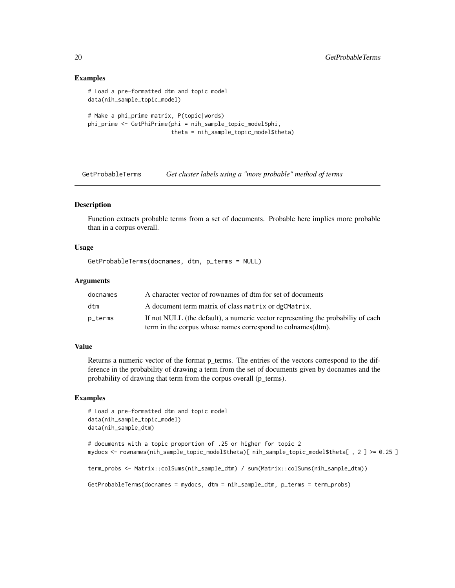#### Examples

```
# Load a pre-formatted dtm and topic model
data(nih_sample_topic_model)
# Make a phi_prime matrix, P(topic|words)
phi_prime <- GetPhiPrime(phi = nih_sample_topic_model$phi,
                         theta = nih_sample_topic_model$theta)
```
<span id="page-19-1"></span>GetProbableTerms *Get cluster labels using a "more probable" method of terms*

## Description

Function extracts probable terms from a set of documents. Probable here implies more probable than in a corpus overall.

## Usage

```
GetProbableTerms(docnames, dtm, p_terms = NULL)
```
## Arguments

| docnames | A character vector of rownames of dtm for set of documents                      |
|----------|---------------------------------------------------------------------------------|
| dtm      | A document term matrix of class matrix or dgCMatrix.                            |
| p_terms  | If not NULL (the default), a numeric vector representing the probabiliy of each |
|          | term in the corpus whose names correspond to colnames (dtm).                    |

#### Value

Returns a numeric vector of the format p\_terms. The entries of the vectors correspond to the difference in the probability of drawing a term from the set of documents given by docnames and the probability of drawing that term from the corpus overall (p\_terms).

```
# Load a pre-formatted dtm and topic model
data(nih_sample_topic_model)
data(nih_sample_dtm)
```

```
# documents with a topic proportion of .25 or higher for topic 2
mydocs <- rownames(nih_sample_topic_model$theta)[ nih_sample_topic_model$theta[ , 2 ] >= 0.25 ]
term_probs <- Matrix::colSums(nih_sample_dtm) / sum(Matrix::colSums(nih_sample_dtm))
GetProbableTerms(docnames = mydocs, dtm = nih_sample_dtm, p_terms = term_probs)
```
<span id="page-19-0"></span>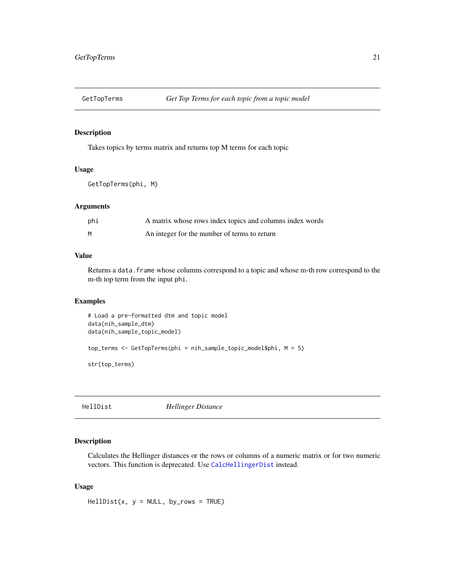<span id="page-20-0"></span>

Takes topics by terms matrix and returns top M terms for each topic

#### Usage

GetTopTerms(phi, M)

## Arguments

| phi | A matrix whose rows index topics and columns index words |
|-----|----------------------------------------------------------|
| M   | An integer for the number of terms to return             |

## Value

Returns a data. frame whose columns correspond to a topic and whose m-th row correspond to the m-th top term from the input phi.

#### Examples

```
# Load a pre-formatted dtm and topic model
data(nih_sample_dtm)
data(nih_sample_topic_model)
top_terms <- GetTopTerms(phi = nih_sample_topic_model$phi, M = 5)
str(top_terms)
```
HellDist *Hellinger Distance*

## Description

Calculates the Hellinger distances or the rows or columns of a numeric matrix or for two numeric vectors. This function is deprecated. Use [CalcHellingerDist](#page-1-1) instead.

## Usage

 $HellDist(x, y = NULL, by_rows = TRUE)$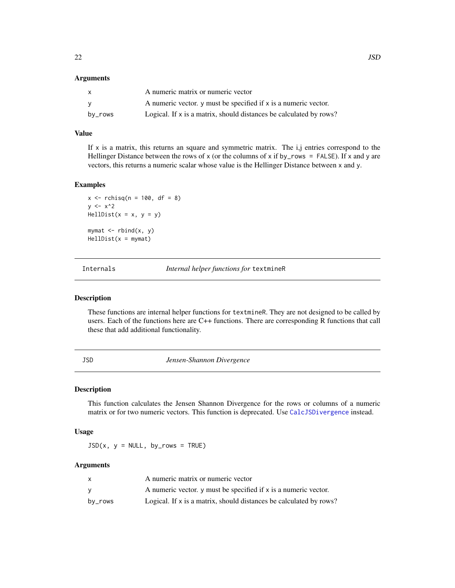#### <span id="page-21-0"></span>**Arguments**

| $\mathsf{X}$ | A numeric matrix or numeric vector                                 |
|--------------|--------------------------------------------------------------------|
| - V          | A numeric vector, y must be specified if x is a numeric vector.    |
| by_rows      | Logical. If x is a matrix, should distances be calculated by rows? |

### Value

If  $x$  is a matrix, this returns an square and symmetric matrix. The  $i, j$  entries correspond to the Hellinger Distance between the rows of x (or the columns of x if by\_rows = FALSE). If x and y are vectors, this returns a numeric scalar whose value is the Hellinger Distance between x and y.

## Examples

 $x \le -$  rchisq(n = 100, df = 8)  $y \le -x^2$  $HellDist(x = x, y = y)$ mymat  $\leq$  rbind(x, y)  $HellDist(x = mymat)$ 

Internals *Internal helper functions for* textmineR

## Description

These functions are internal helper functions for textmineR. They are not designed to be called by users. Each of the functions here are C++ functions. There are corresponding R functions that call these that add additional functionality.

JSD *Jensen-Shannon Divergence*

#### Description

This function calculates the Jensen Shannon Divergence for the rows or columns of a numeric matrix or for two numeric vectors. This function is deprecated. Use [CalcJSDivergence](#page-2-1) instead.

### Usage

 $JSD(x, y = NULL, by_rows = TRUE)$ 

#### Arguments

| x       | A numeric matrix or numeric vector                                 |
|---------|--------------------------------------------------------------------|
| v       | A numeric vector, y must be specified if x is a numeric vector.    |
| by_rows | Logical. If x is a matrix, should distances be calculated by rows? |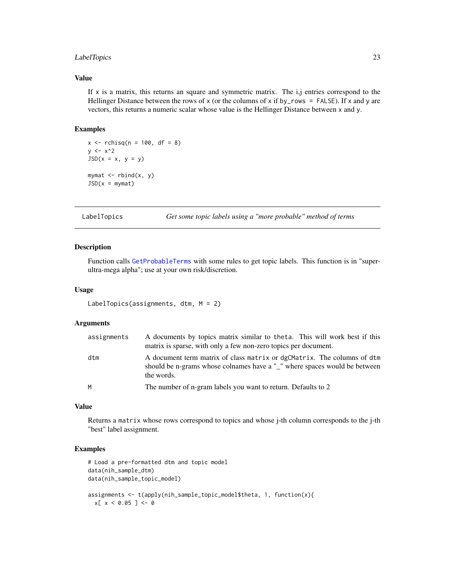## <span id="page-22-0"></span>LabelTopics 23

## Value

If  $x$  is a matrix, this returns an square and symmetric matrix. The i,j entries correspond to the Hellinger Distance between the rows of x (or the columns of x if by\_rows = FALSE). If x and y are vectors, this returns a numeric scalar whose value is the Hellinger Distance between x and y.

#### Examples

```
x \le rchisq(n = 100, df = 8)
y \le -x^2JSD(x = x, y = y)mymat \leq rbind(x, y)
JSD(x = mymat)
```
LabelTopics *Get some topic labels using a "more probable" method of terms*

#### Description

Function calls [GetProbableTerms](#page-19-1) with some rules to get topic labels. This function is in "superultra-mega alpha"; use at your own risk/discretion.

## Usage

```
LabelTopics(assignments, dtm, M = 2)
```
#### Arguments

| assignments | A documents by topics matrix similar to theta. This will work best if this<br>matrix is sparse, with only a few non-zero topics per document.                      |
|-------------|--------------------------------------------------------------------------------------------------------------------------------------------------------------------|
| dtm         | A document term matrix of class matrix or dgCMatrix. The columns of dtm<br>should be n-grams whose colnames have a "_" where spaces would be between<br>the words. |
| M           | The number of n-gram labels you want to return. Defaults to 2                                                                                                      |

## Value

Returns a matrix whose rows correspond to topics and whose j-th column corresponds to the j-th "best" label assignment.

```
# Load a pre-formatted dtm and topic model
data(nih_sample_dtm)
data(nih_sample_topic_model)
assignments <- t(apply(nih_sample_topic_model$theta, 1, function(x){
 x[ x < 0.05 ] < -0
```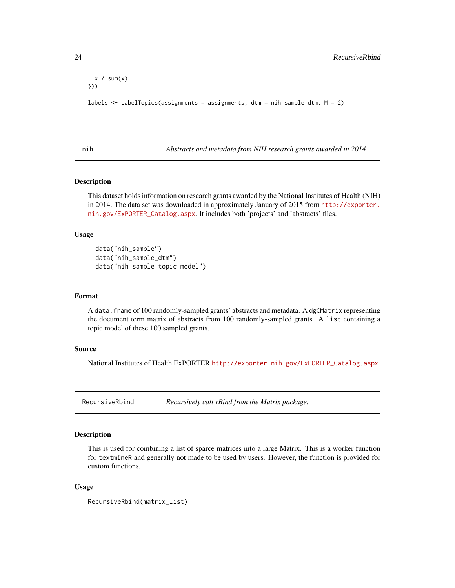```
x / sum(x)}))
labels <- LabelTopics(assignments = assignments, dtm = nih_sample_dtm, M = 2)
```
nih *Abstracts and metadata from NIH research grants awarded in 2014*

#### Description

This dataset holds information on research grants awarded by the National Institutes of Health (NIH) in 2014. The data set was downloaded in approximately January of 2015 from [http://exporter.](http://exporter.nih.gov/ExPORTER_Catalog.aspx) [nih.gov/ExPORTER\\_Catalog.aspx](http://exporter.nih.gov/ExPORTER_Catalog.aspx). It includes both 'projects' and 'abstracts' files.

#### Usage

```
data("nih_sample")
data("nih_sample_dtm")
data("nih_sample_topic_model")
```
#### Format

A data.frame of 100 randomly-sampled grants' abstracts and metadata. A dgCMatrix representing the document term matrix of abstracts from 100 randomly-sampled grants. A list containing a topic model of these 100 sampled grants.

#### Source

National Institutes of Health ExPORTER [http://exporter.nih.gov/ExPORTER\\_Catalog.aspx](http://exporter.nih.gov/ExPORTER_Catalog.aspx)

RecursiveRbind *Recursively call rBind from the Matrix package.*

#### Description

This is used for combining a list of sparce matrices into a large Matrix. This is a worker function for textmineR and generally not made to be used by users. However, the function is provided for custom functions.

#### Usage

```
RecursiveRbind(matrix_list)
```
<span id="page-23-0"></span>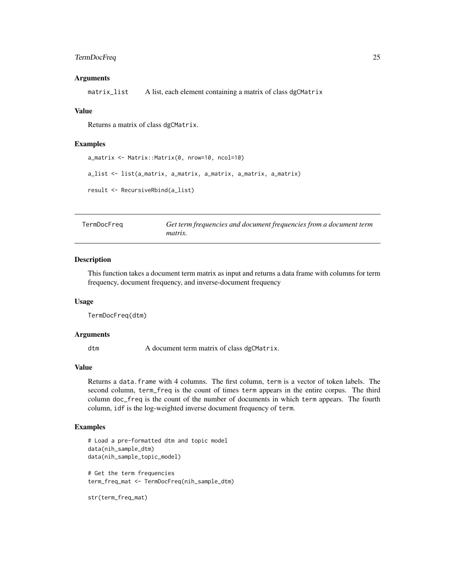## <span id="page-24-0"></span>TermDocFreq 25

#### **Arguments**

matrix\_list A list, each element containing a matrix of class dgCMatrix

#### Value

Returns a matrix of class dgCMatrix.

#### Examples

```
a_matrix <- Matrix::Matrix(0, nrow=10, ncol=10)
a_list <- list(a_matrix, a_matrix, a_matrix, a_matrix, a_matrix)
result <- RecursiveRbind(a_list)
```
TermDocFreq *Get term frequencies and document frequencies from a document term matrix.*

#### Description

This function takes a document term matrix as input and returns a data frame with columns for term frequency, document frequency, and inverse-document frequency

#### Usage

TermDocFreq(dtm)

## Arguments

dtm A document term matrix of class dgCMatrix.

## Value

Returns a data.frame with 4 columns. The first column, term is a vector of token labels. The second column, term\_freq is the count of times term appears in the entire corpus. The third column doc\_freq is the count of the number of documents in which term appears. The fourth column, idf is the log-weighted inverse document frequency of term.

```
# Load a pre-formatted dtm and topic model
data(nih_sample_dtm)
data(nih_sample_topic_model)
# Get the term frequencies
term_freq_mat <- TermDocFreq(nih_sample_dtm)
str(term_freq_mat)
```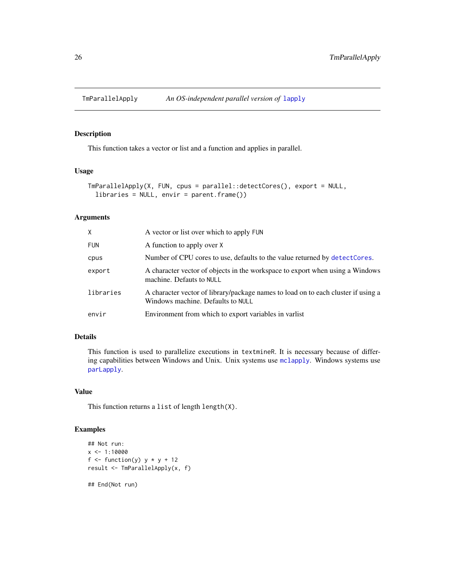<span id="page-25-1"></span><span id="page-25-0"></span>

This function takes a vector or list and a function and applies in parallel.

## Usage

```
TmParallelApply(X, FUN, cpus = parallel::detectCores(), export = NULL,
  libraries = NULL, envir = parent.frame())
```
## Arguments

| X.         | A vector or list over which to apply FUN                                                                               |
|------------|------------------------------------------------------------------------------------------------------------------------|
| <b>FUN</b> | A function to apply over X                                                                                             |
| cpus       | Number of CPU cores to use, defaults to the value returned by detect Cores.                                            |
| export     | A character vector of objects in the workspace to export when using a Windows<br>machine. Defauts to NULL              |
| libraries  | A character vector of library/package names to load on to each cluster if using a<br>Windows machine. Defaults to NULL |
| envir      | Environment from which to export variables in variest                                                                  |

## Details

This function is used to parallelize executions in textmineR. It is necessary because of differing capabilities between Windows and Unix. Unix systems use [mclapply](#page-0-0). Windows systems use [parLapply](#page-0-0).

## Value

This function returns a list of length length(X).

```
## Not run:
x \le -1:10000f \le function(y) y * y + 12result <- TmParallelApply(x, f)
## End(Not run)
```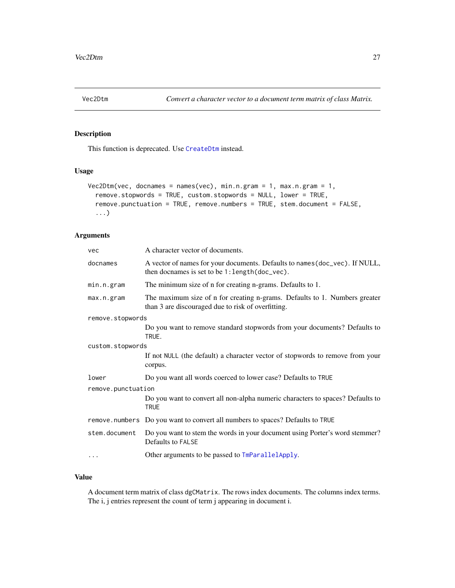<span id="page-26-0"></span>

This function is deprecated. Use [CreateDtm](#page-8-1) instead.

## Usage

```
Vec2Dtm(vec, docnames = names(vec), min.n.gram = 1, max.n.gram = 1,
  remove.stopwords = TRUE, custom.stopwords = NULL, lower = TRUE,
  remove.punctuation = TRUE, remove.numbers = TRUE, stem.document = FALSE,
  ...)
```
## Arguments

| vec                | A character vector of documents.                                                                                                 |  |
|--------------------|----------------------------------------------------------------------------------------------------------------------------------|--|
| docnames           | A vector of names for your documents. Defaults to names (doc_vec). If NULL,<br>then docnames is set to be 1: length (doc_vec).   |  |
| min.n.gram         | The minimum size of n for creating n-grams. Defaults to 1.                                                                       |  |
| max.n.gram         | The maximum size of n for creating n-grams. Defaults to 1. Numbers greater<br>than 3 are discouraged due to risk of overfitting. |  |
| remove.stopwords   |                                                                                                                                  |  |
|                    | Do you want to remove standard stopwords from your documents? Defaults to<br>TRUE.                                               |  |
| custom.stopwords   |                                                                                                                                  |  |
|                    | If not NULL (the default) a character vector of stopwords to remove from your<br>corpus.                                         |  |
| lower              | Do you want all words coerced to lower case? Defaults to TRUE                                                                    |  |
| remove.punctuation |                                                                                                                                  |  |
|                    | Do you want to convert all non-alpha numeric characters to spaces? Defaults to<br><b>TRUE</b>                                    |  |
|                    | remove.numbers Do you want to convert all numbers to spaces? Defaults to TRUE                                                    |  |
| stem.document      | Do you want to stem the words in your document using Porter's word stemmer?<br>Defaults to FALSE                                 |  |
| $\cdots$           | Other arguments to be passed to TmParallelApply.                                                                                 |  |

## Value

A document term matrix of class dgCMatrix. The rows index documents. The columns index terms. The i, j entries represent the count of term j appearing in document i.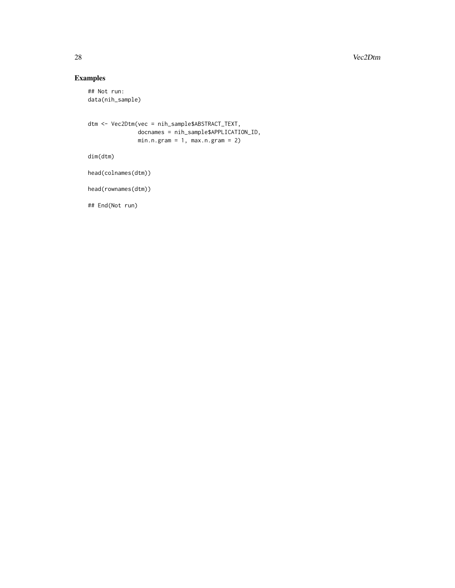#### 28 vec2Dtm

## Examples

```
## Not run:
data(nih_sample)
```

```
dtm <- Vec2Dtm(vec = nih_sample$ABSTRACT_TEXT,
              docnames = nih_sample$APPLICATION_ID,
              min.n.gram = 1, max.n.gram = 2)
```
dim(dtm)

```
head(colnames(dtm))
```
head(rownames(dtm))

## End(Not run)